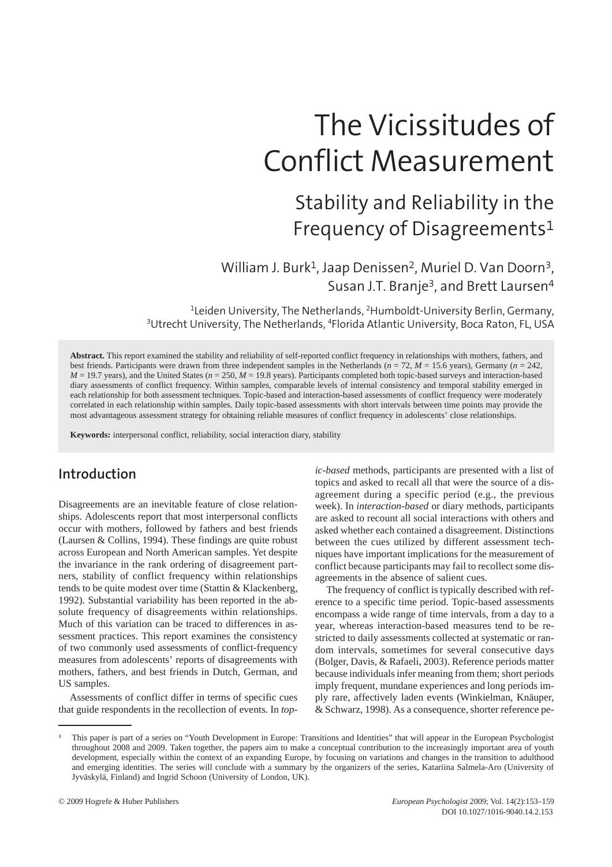# The Vicissitudes of Conflict Measurement

# Stability and Reliability in the Frequency of Disagreements<sup>1</sup>

William J. Burk<sup>1</sup>, Jaap Denissen<sup>2</sup>, Muriel D. Van Doorn<sup>3</sup>, Susan J.T. Branje<sup>3</sup>, and Brett Laursen<sup>4</sup>

<sup>1</sup>Leiden University, The Netherlands, <sup>2</sup>Humboldt-University Berlin, Germany,  $^3$ Utrecht University, The Netherlands,  $^4$ Florida Atlantic University, Boca Raton, FL, USA  $\,$ 

**Abstract.** This report examined the stability and reliability of self-reported conflict frequency in relationships with mothers, fathers, and best friends. Participants were drawn from three independent samples in the Netherlands ( $n = 72$ ,  $M = 15.6$  years), Germany ( $n = 242$ ,  $M = 19.7$  years), and the United States ( $n = 250$ ,  $M = 19.8$  years). Participants completed both topic-based surveys and interaction-based diary assessments of conflict frequency. Within samples, comparable levels of internal consistency and temporal stability emerged in each relationship for both assessment techniques. Topic-based and interaction-based assessments of conflict frequency were moderately correlated in each relationship within samples. Daily topic-based assessments with short intervals between time points may provide the most advantageous assessment strategy for obtaining reliable measures of conflict frequency in adolescents' close relationships.

**Keywords:** interpersonal conflict, reliability, social interaction diary, stability

# **Introduction**

Disagreements are an inevitable feature of close relationships. Adolescents report that most interpersonal conflicts occur with mothers, followed by fathers and best friends (Laursen & Collins, 1994). These findings are quite robust across European and North American samples. Yet despite the invariance in the rank ordering of disagreement partners, stability of conflict frequency within relationships tends to be quite modest over time (Stattin & Klackenberg, 1992). Substantial variability has been reported in the absolute frequency of disagreements within relationships. Much of this variation can be traced to differences in assessment practices. This report examines the consistency of two commonly used assessments of conflict-frequency measures from adolescents' reports of disagreements with mothers, fathers, and best friends in Dutch, German, and US samples.

Assessments of conflict differ in terms of specific cues that guide respondents in the recollection of events. In *top-* *ic-based* methods, participants are presented with a list of topics and asked to recall all that were the source of a disagreement during a specific period (e.g., the previous week). In *interaction-based* or diary methods, participants are asked to recount all social interactions with others and asked whether each contained a disagreement. Distinctions between the cues utilized by different assessment techniques have important implications for the measurement of conflict because participants may fail to recollect some disagreements in the absence of salient cues.

The frequency of conflict is typically described with reference to a specific time period. Topic-based assessments encompass a wide range of time intervals, from a day to a year, whereas interaction-based measures tend to be restricted to daily assessments collected at systematic or random intervals, sometimes for several consecutive days (Bolger, Davis, & Rafaeli, 2003). Reference periods matter because individuals infer meaning from them; short periods imply frequent, mundane experiences and long periods imply rare, affectively laden events (Winkielman, Knäuper, & Schwarz, 1998). As a consequence, shorter reference pe-

<sup>-</sup> This paper is part of a series on "Youth Development in Europe: Transitions and Identities" that will appear in the European Psychologist throughout 2008 and 2009. Taken together, the papers aim to make a conceptual contribution to the increasingly important area of youth development, especially within the context of an expanding Europe, by focusing on variations and changes in the transition to adulthood and emerging identities. The series will conclude with a summary by the organizers of the series, Katariina Salmela-Aro (University of Jyväskylä, Finland) and Ingrid Schoon (University of London, UK).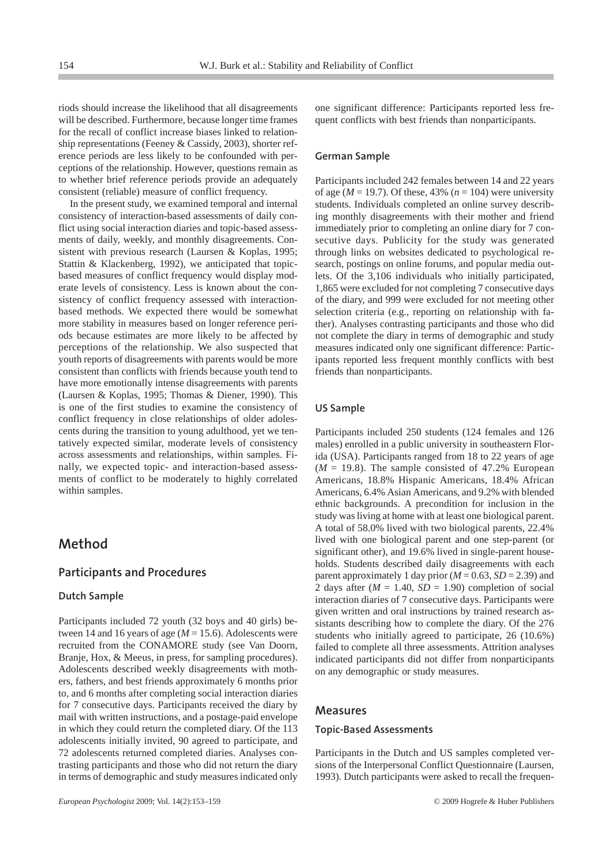riods should increase the likelihood that all disagreements will be described. Furthermore, because longer time frames for the recall of conflict increase biases linked to relationship representations (Feeney & Cassidy, 2003), shorter reference periods are less likely to be confounded with perceptions of the relationship. However, questions remain as to whether brief reference periods provide an adequately consistent (reliable) measure of conflict frequency.

In the present study, we examined temporal and internal consistency of interaction-based assessments of daily conflict using social interaction diaries and topic-based assessments of daily, weekly, and monthly disagreements. Consistent with previous research (Laursen & Koplas, 1995; Stattin & Klackenberg, 1992), we anticipated that topicbased measures of conflict frequency would display moderate levels of consistency. Less is known about the consistency of conflict frequency assessed with interactionbased methods. We expected there would be somewhat more stability in measures based on longer reference periods because estimates are more likely to be affected by perceptions of the relationship. We also suspected that youth reports of disagreements with parents would be more consistent than conflicts with friends because youth tend to have more emotionally intense disagreements with parents (Laursen & Koplas, 1995; Thomas & Diener, 1990). This is one of the first studies to examine the consistency of conflict frequency in close relationships of older adolescents during the transition to young adulthood, yet we tentatively expected similar, moderate levels of consistency across assessments and relationships, within samples. Finally, we expected topic- and interaction-based assessments of conflict to be moderately to highly correlated within samples.

#### **Method**

#### **Participants and Procedures**

#### **Dutch Sample**

Participants included 72 youth (32 boys and 40 girls) between 14 and 16 years of age  $(M = 15.6)$ . Adolescents were recruited from the CONAMORE study (see Van Doorn, Branje, Hox, & Meeus, in press, for sampling procedures). Adolescents described weekly disagreements with mothers, fathers, and best friends approximately 6 months prior to, and 6 months after completing social interaction diaries for 7 consecutive days. Participants received the diary by mail with written instructions, and a postage-paid envelope in which they could return the completed diary. Of the 113 adolescents initially invited, 90 agreed to participate, and 72 adolescents returned completed diaries. Analyses contrasting participants and those who did not return the diary in terms of demographic and study measures indicated only

#### **German Sample**

Participants included 242 females between 14 and 22 years of age ( $M = 19.7$ ). Of these, 43% ( $n = 104$ ) were university students. Individuals completed an online survey describing monthly disagreements with their mother and friend immediately prior to completing an online diary for 7 consecutive days. Publicity for the study was generated through links on websites dedicated to psychological research, postings on online forums, and popular media outlets. Of the 3,106 individuals who initially participated, 1,865 were excluded for not completing 7 consecutive days of the diary, and 999 were excluded for not meeting other selection criteria (e.g., reporting on relationship with father). Analyses contrasting participants and those who did not complete the diary in terms of demographic and study measures indicated only one significant difference: Participants reported less frequent monthly conflicts with best friends than nonparticipants.

#### **US Sample**

Participants included 250 students (124 females and 126 males) enrolled in a public university in southeastern Florida (USA). Participants ranged from 18 to 22 years of age  $(M = 19.8)$ . The sample consisted of 47.2% European Americans, 18.8% Hispanic Americans, 18.4% African Americans, 6.4% Asian Americans, and 9.2% with blended ethnic backgrounds. A precondition for inclusion in the study was living at home with at least one biological parent. A total of 58.0% lived with two biological parents, 22.4% lived with one biological parent and one step-parent (or significant other), and 19.6% lived in single-parent households. Students described daily disagreements with each parent approximately 1 day prior  $(M = 0.63, SD = 2.39)$  and 2 days after  $(M = 1.40, SD = 1.90)$  completion of social interaction diaries of 7 consecutive days. Participants were given written and oral instructions by trained research assistants describing how to complete the diary. Of the 276 students who initially agreed to participate, 26 (10.6%) failed to complete all three assessments. Attrition analyses indicated participants did not differ from nonparticipants on any demographic or study measures.

#### **Measures**

#### **Topic-Based Assessments**

Participants in the Dutch and US samples completed versions of the Interpersonal Conflict Questionnaire (Laursen, 1993). Dutch participants were asked to recall the frequen-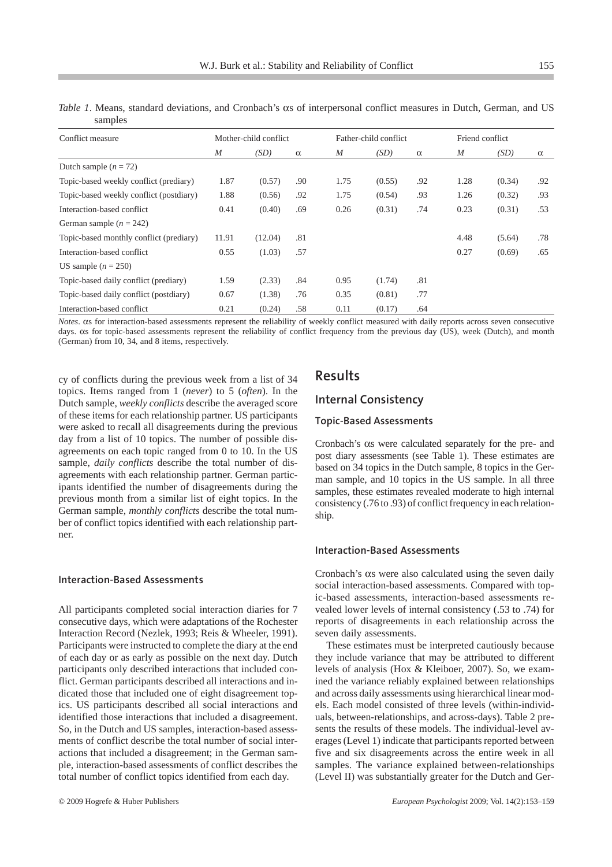| Conflict measure                        | Mother-child conflict |         |          |      | Father-child conflict |          |      | Friend conflict |          |  |
|-----------------------------------------|-----------------------|---------|----------|------|-----------------------|----------|------|-----------------|----------|--|
|                                         | M                     | (SD)    | $\alpha$ | M    | (SD)                  | $\alpha$ | M    | (SD)            | $\alpha$ |  |
| Dutch sample $(n = 72)$                 |                       |         |          |      |                       |          |      |                 |          |  |
| Topic-based weekly conflict (prediary)  | 1.87                  | (0.57)  | .90      | 1.75 | (0.55)                | .92      | 1.28 | (0.34)          | .92      |  |
| Topic-based weekly conflict (postdiary) | 1.88                  | (0.56)  | .92      | 1.75 | (0.54)                | .93      | 1.26 | (0.32)          | .93      |  |
| Interaction-based conflict              | 0.41                  | (0.40)  | .69      | 0.26 | (0.31)                | .74      | 0.23 | (0.31)          | .53      |  |
| German sample $(n = 242)$               |                       |         |          |      |                       |          |      |                 |          |  |
| Topic-based monthly conflict (prediary) | 11.91                 | (12.04) | .81      |      |                       |          | 4.48 | (5.64)          | .78      |  |
| Interaction-based conflict              | 0.55                  | (1.03)  | .57      |      |                       |          | 0.27 | (0.69)          | .65      |  |
| US sample $(n = 250)$                   |                       |         |          |      |                       |          |      |                 |          |  |
| Topic-based daily conflict (prediary)   | 1.59                  | (2.33)  | .84      | 0.95 | (1.74)                | .81      |      |                 |          |  |
| Topic-based daily conflict (postdiary)  | 0.67                  | (1.38)  | .76      | 0.35 | (0.81)                | .77      |      |                 |          |  |
| Interaction-based conflict              | 0.21                  | (0.24)  | .58      | 0.11 | (0.17)                | .64      |      |                 |          |  |

*Table 1*. Means, standard deviations, and Cronbach's αs of interpersonal conflict measures in Dutch, German, and US samples

*Notes*. αs for interaction-based assessments represent the reliability of weekly conflict measured with daily reports across seven consecutive days. αs for topic-based assessments represent the reliability of conflict frequency from the previous day (US), week (Dutch), and month (German) from 10, 34, and 8 items, respectively.

cy of conflicts during the previous week from a list of 34 topics. Items ranged from 1 (*never*) to 5 (*often*). In the Dutch sample, *weekly conflicts* describe the averaged score of these items for each relationship partner. US participants were asked to recall all disagreements during the previous day from a list of 10 topics. The number of possible disagreements on each topic ranged from 0 to 10. In the US sample, *daily conflicts* describe the total number of disagreements with each relationship partner. German participants identified the number of disagreements during the previous month from a similar list of eight topics. In the German sample, *monthly conflicts* describe the total number of conflict topics identified with each relationship partner.

#### **Interaction-Based Assessments**

All participants completed social interaction diaries for 7 consecutive days, which were adaptations of the Rochester Interaction Record (Nezlek, 1993; Reis & Wheeler, 1991). Participants were instructed to complete the diary at the end of each day or as early as possible on the next day. Dutch participants only described interactions that included conflict. German participants described all interactions and indicated those that included one of eight disagreement topics. US participants described all social interactions and identified those interactions that included a disagreement. So, in the Dutch and US samples, interaction-based assessments of conflict describe the total number of social interactions that included a disagreement; in the German sample, interaction-based assessments of conflict describes the total number of conflict topics identified from each day.

## **Results**

## **Internal Consistency**

#### **Topic-Based Assessments**

Cronbach's αs were calculated separately for the pre- and post diary assessments (see Table 1). These estimates are based on 34 topics in the Dutch sample, 8 topics in the German sample, and 10 topics in the US sample. In all three samples, these estimates revealed moderate to high internal consistency (.76 to .93) of conflict frequency in each relationship.

#### **Interaction-Based Assessments**

Cronbach's αs were also calculated using the seven daily social interaction-based assessments. Compared with topic-based assessments, interaction-based assessments revealed lower levels of internal consistency (.53 to .74) for reports of disagreements in each relationship across the seven daily assessments.

These estimates must be interpreted cautiously because they include variance that may be attributed to different levels of analysis (Hox & Kleiboer, 2007). So, we examined the variance reliably explained between relationships and across daily assessments using hierarchical linear models. Each model consisted of three levels (within-individuals, between-relationships, and across-days). Table 2 presents the results of these models. The individual-level averages (Level 1) indicate that participants reported between five and six disagreements across the entire week in all samples. The variance explained between-relationships (Level II) was substantially greater for the Dutch and Ger-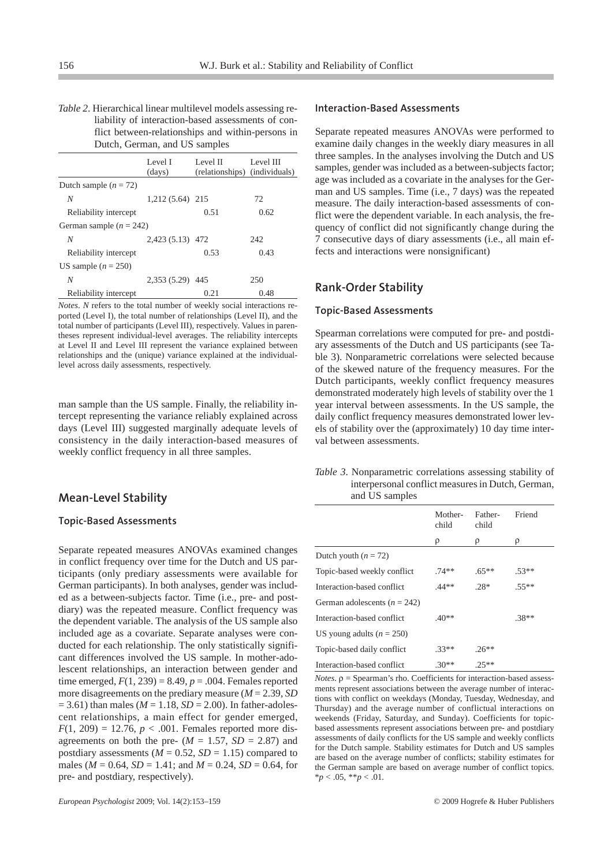#### *Table 2*. Hierarchical linear multilevel models assessing reliability of interaction-based assessments of conflict between-relationships and within-persons in Dutch, German, and US samples

|                           | Level I<br>(days) | Level II<br>(relationships) (individuals) | Level III |
|---------------------------|-------------------|-------------------------------------------|-----------|
| Dutch sample $(n = 72)$   |                   |                                           |           |
| N                         | 1,212 (5.64) 215  |                                           | 72        |
| Reliability intercept     |                   | 0.51                                      | 0.62      |
| German sample $(n = 242)$ |                   |                                           |           |
| N                         | 2,423 (5.13) 472  |                                           | 242       |
| Reliability intercept     |                   | 0.53                                      | 0.43      |
| US sample $(n = 250)$     |                   |                                           |           |
| N                         | 2,353 (5.29) 445  |                                           | 250       |
| Reliability intercept     |                   | 0.21                                      | 0.48      |

*Notes*. *N* refers to the total number of weekly social interactions reported (Level I), the total number of relationships (Level II), and the total number of participants (Level III), respectively. Values in parentheses represent individual-level averages. The reliability intercepts at Level II and Level III represent the variance explained between relationships and the (unique) variance explained at the individuallevel across daily assessments, respectively.

man sample than the US sample. Finally, the reliability intercept representing the variance reliably explained across days (Level III) suggested marginally adequate levels of consistency in the daily interaction-based measures of weekly conflict frequency in all three samples.

#### **Mean-Level Stability**

#### **Topic-Based Assessments**

Separate repeated measures ANOVAs examined changes in conflict frequency over time for the Dutch and US participants (only prediary assessments were available for German participants). In both analyses, gender was included as a between-subjects factor. Time (i.e., pre- and postdiary) was the repeated measure. Conflict frequency was the dependent variable. The analysis of the US sample also included age as a covariate. Separate analyses were conducted for each relationship. The only statistically significant differences involved the US sample. In mother-adolescent relationships, an interaction between gender and time emerged,  $F(1, 239) = 8.49$ ,  $p = .004$ . Females reported more disagreements on the prediary measure (*M* = 2.39, *SD*  $= 3.61$ ) than males ( $M = 1.18$ ,  $SD = 2.00$ ). In father-adolescent relationships, a main effect for gender emerged,  $F(1, 209) = 12.76, p < .001$ . Females reported more disagreements on both the pre-  $(M = 1.57, SD = 2.87)$  and postdiary assessments ( $M = 0.52$ ,  $SD = 1.15$ ) compared to males ( $M = 0.64$ ,  $SD = 1.41$ ; and  $M = 0.24$ ,  $SD = 0.64$ , for pre- and postdiary, respectively).

#### **Interaction-Based Assessments**

Separate repeated measures ANOVAs were performed to examine daily changes in the weekly diary measures in all three samples. In the analyses involving the Dutch and US samples, gender was included as a between-subjects factor; age was included as a covariate in the analyses for the German and US samples. Time (i.e., 7 days) was the repeated measure. The daily interaction-based assessments of conflict were the dependent variable. In each analysis, the frequency of conflict did not significantly change during the 7 consecutive days of diary assessments (i.e., all main effects and interactions were nonsignificant)

#### **Rank-Order Stability**

#### **Topic-Based Assessments**

Spearman correlations were computed for pre- and postdiary assessments of the Dutch and US participants (see Table 3). Nonparametric correlations were selected because of the skewed nature of the frequency measures. For the Dutch participants, weekly conflict frequency measures demonstrated moderately high levels of stability over the 1 year interval between assessments. In the US sample, the daily conflict frequency measures demonstrated lower levels of stability over the (approximately) 10 day time interval between assessments.

| <i>Table 3.</i> Nonparametric correlations assessing stability of |
|-------------------------------------------------------------------|
| interpersonal conflict measures in Dutch, German,                 |
| and US samples                                                    |

|                                | Mother-<br>child | Father-<br>child | Friend  |
|--------------------------------|------------------|------------------|---------|
|                                | ρ                | ρ                | ρ       |
| Dutch youth $(n = 72)$         |                  |                  |         |
| Topic-based weekly conflict    | $.74**$          | $.65**$          | $53**$  |
| Interaction-based conflict     | $.44**$          | $.28*$           | $.55**$ |
| German adolescents $(n = 242)$ |                  |                  |         |
| Interaction-based conflict     | $.40**$          |                  | $.38**$ |
| US young adults $(n = 250)$    |                  |                  |         |
| Topic-based daily conflict     | $33**$           | $.26**$          |         |
| Interaction-based conflict     | $.30**$          | $.25**$          |         |

*Notes*. ρ = Spearman's rho. Coefficients for interaction-based assessments represent associations between the average number of interactions with conflict on weekdays (Monday, Tuesday, Wednesday, and Thursday) and the average number of conflictual interactions on weekends (Friday, Saturday, and Sunday). Coefficients for topicbased assessments represent associations between pre- and postdiary assessments of daily conflicts for the US sample and weekly conflicts for the Dutch sample. Stability estimates for Dutch and US samples are based on the average number of conflicts; stability estimates for the German sample are based on average number of conflict topics.  $*_{p}$  < .05,  $*_{p}$  < .01.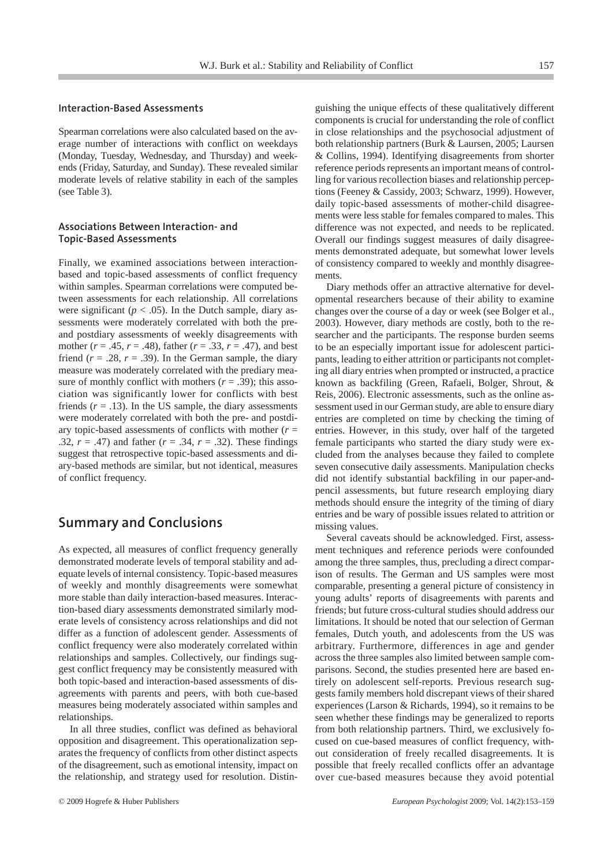ments.

#### **Interaction-Based Assessments**

Spearman correlations were also calculated based on the average number of interactions with conflict on weekdays (Monday, Tuesday, Wednesday, and Thursday) and weekends (Friday, Saturday, and Sunday). These revealed similar moderate levels of relative stability in each of the samples (see Table 3).

#### **Associations Between Interaction- and Topic-Based Assessments**

Finally, we examined associations between interactionbased and topic-based assessments of conflict frequency within samples. Spearman correlations were computed between assessments for each relationship. All correlations were significant ( $p < .05$ ). In the Dutch sample, diary assessments were moderately correlated with both the preand postdiary assessments of weekly disagreements with mother ( $r = .45$ ,  $r = .48$ ), father ( $r = .33$ ,  $r = .47$ ), and best friend  $(r = .28, r = .39)$ . In the German sample, the diary measure was moderately correlated with the prediary measure of monthly conflict with mothers  $(r = .39)$ ; this association was significantly lower for conflicts with best friends  $(r = .13)$ . In the US sample, the diary assessments were moderately correlated with both the pre- and postdiary topic-based assessments of conflicts with mother (*r* = .32, *r* = .47) and father (*r* = .34, *r* = .32). These findings suggest that retrospective topic-based assessments and diary-based methods are similar, but not identical, measures of conflict frequency.

# **Summary and Conclusions**

As expected, all measures of conflict frequency generally demonstrated moderate levels of temporal stability and adequate levels of internal consistency. Topic-based measures of weekly and monthly disagreements were somewhat more stable than daily interaction-based measures. Interaction-based diary assessments demonstrated similarly moderate levels of consistency across relationships and did not differ as a function of adolescent gender. Assessments of conflict frequency were also moderately correlated within relationships and samples. Collectively, our findings suggest conflict frequency may be consistently measured with both topic-based and interaction-based assessments of disagreements with parents and peers, with both cue-based measures being moderately associated within samples and relationships.

In all three studies, conflict was defined as behavioral opposition and disagreement. This operationalization separates the frequency of conflicts from other distinct aspects of the disagreement, such as emotional intensity, impact on the relationship, and strategy used for resolution. Distinguishing the unique effects of these qualitatively different components is crucial for understanding the role of conflict in close relationships and the psychosocial adjustment of both relationship partners (Burk & Laursen, 2005; Laursen & Collins, 1994). Identifying disagreements from shorter reference periods represents an important means of controlling for various recollection biases and relationship perceptions (Feeney & Cassidy, 2003; Schwarz, 1999). However, daily topic-based assessments of mother-child disagreements were less stable for females compared to males. This difference was not expected, and needs to be replicated. Overall our findings suggest measures of daily disagreements demonstrated adequate, but somewhat lower levels of consistency compared to weekly and monthly disagree-

Diary methods offer an attractive alternative for developmental researchers because of their ability to examine changes over the course of a day or week (see Bolger et al., 2003). However, diary methods are costly, both to the researcher and the participants. The response burden seems to be an especially important issue for adolescent participants, leading to either attrition or participants not completing all diary entries when prompted or instructed, a practice known as backfiling (Green, Rafaeli, Bolger, Shrout, & Reis, 2006). Electronic assessments, such as the online assessment used in our German study, are able to ensure diary entries are completed on time by checking the timing of entries. However, in this study, over half of the targeted female participants who started the diary study were excluded from the analyses because they failed to complete seven consecutive daily assessments. Manipulation checks did not identify substantial backfiling in our paper-andpencil assessments, but future research employing diary methods should ensure the integrity of the timing of diary entries and be wary of possible issues related to attrition or missing values.

Several caveats should be acknowledged. First, assessment techniques and reference periods were confounded among the three samples, thus, precluding a direct comparison of results. The German and US samples were most comparable, presenting a general picture of consistency in young adults' reports of disagreements with parents and friends; but future cross-cultural studies should address our limitations. It should be noted that our selection of German females, Dutch youth, and adolescents from the US was arbitrary. Furthermore, differences in age and gender across the three samples also limited between sample comparisons. Second, the studies presented here are based entirely on adolescent self-reports. Previous research suggests family members hold discrepant views of their shared experiences (Larson & Richards, 1994), so it remains to be seen whether these findings may be generalized to reports from both relationship partners. Third, we exclusively focused on cue-based measures of conflict frequency, without consideration of freely recalled disagreements. It is possible that freely recalled conflicts offer an advantage over cue-based measures because they avoid potential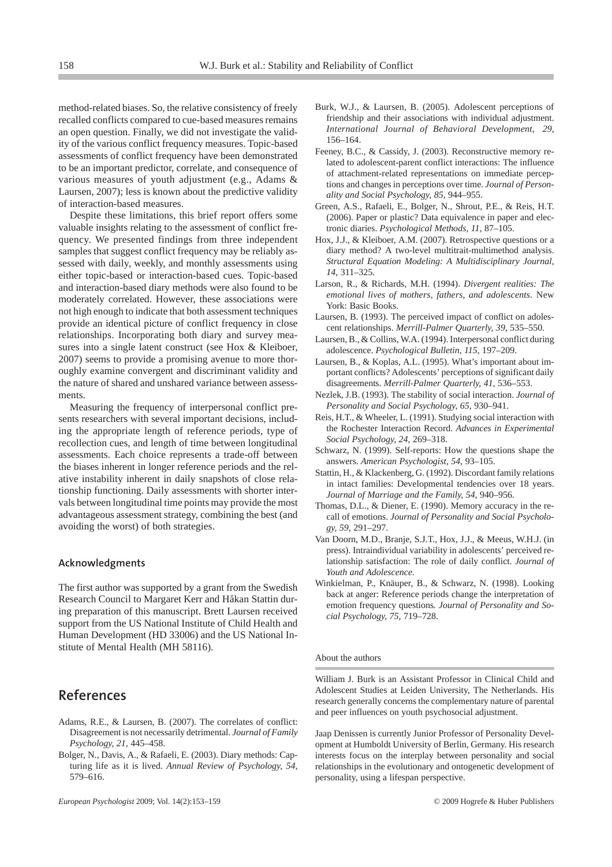method-related biases. So, the relative consistency of freely recalled conflicts compared to cue-based measures remains an open question. Finally, we did not investigate the validity of the various conflict frequency measures. Topic-based assessments of conflict frequency have been demonstrated to be an important predictor, correlate, and consequence of various measures of youth adjustment (e.g., Adams & Laursen, 2007); less is known about the predictive validity of interaction-based measures.

Despite these limitations, this brief report offers some valuable insights relating to the assessment of conflict frequency. We presented findings from three independent samples that suggest conflict frequency may be reliably assessed with daily, weekly, and monthly assessments using either topic-based or interaction-based cues. Topic-based and interaction-based diary methods were also found to be moderately correlated. However, these associations were not high enough to indicate that both assessment techniques provide an identical picture of conflict frequency in close relationships. Incorporating both diary and survey measures into a single latent construct (see Hox & Kleiboer, 2007) seems to provide a promising avenue to more thoroughly examine convergent and discriminant validity and the nature of shared and unshared variance between assessments.

Measuring the frequency of interpersonal conflict presents researchers with several important decisions, including the appropriate length of reference periods, type of recollection cues, and length of time between longitudinal assessments. Each choice represents a trade-off between the biases inherent in longer reference periods and the relative instability inherent in daily snapshots of close relationship functioning. Daily assessments with shorter intervals between longitudinal time points may provide the most advantageous assessment strategy, combining the best (and avoiding the worst) of both strategies.

#### **Acknowledgments**

The first author was supported by a grant from the Swedish Research Council to Margaret Kerr and Håkan Stattin during preparation of this manuscript. Brett Laursen received support from the US National Institute of Child Health and Human Development (HD 33006) and the US National Institute of Mental Health (MH 58116).

# **References**

- Adams, R.E., & Laursen, B. (2007). The correlates of conflict: Disagreement is not necessarily detrimental. *Journal of Family Psychology, 21,* 445–458.
- Bolger, N., Davis, A., & Rafaeli, E. (2003). Diary methods: Capturing life as it is lived. *Annual Review of Psychology, 54*, 579–616.
- Burk, W.J., & Laursen, B. (2005). Adolescent perceptions of friendship and their associations with individual adjustment. *International Journal of Behavioral Development*, *29*, 156–164.
- Feeney, B.C., & Cassidy, J. (2003). Reconstructive memory related to adolescent-parent conflict interactions: The influence of attachment-related representations on immediate perceptions and changes in perceptions over time. *Journal of Personality and Social Psychology, 85*, 944–955.
- Green, A.S., Rafaeli, E., Bolger, N., Shrout, P.E., & Reis, H.T. (2006). Paper or plastic? Data equivalence in paper and electronic diaries. *Psychological Methods, 11*, 87–105.
- Hox, J.J., & Kleiboer, A.M. (2007). Retrospective questions or a diary method? A two-level multitrait-multimethod analysis. *Structural Equation Modeling: A Multidisciplinary Journal, 14*, 311–325.
- Larson, R., & Richards, M.H. (1994). *Divergent realities: The emotional lives of mothers, fathers, and adolescents*. New York: Basic Books.
- Laursen, B. (1993). The perceived impact of conflict on adolescent relationships. *Merrill-Palmer Quarterly, 39*, 535–550.
- Laursen, B., & Collins, W.A. (1994). Interpersonal conflict during adolescence. *Psychological Bulletin, 115*, 197–209.
- Laursen, B., & Koplas, A.L. (1995). What's important about important conflicts? Adolescents' perceptions of significant daily disagreements. *Merrill-Palmer Quarterly, 41*, 536–553.
- Nezlek, J.B. (1993). The stability of social interaction. *Journal of Personality and Social Psychology, 65*, 930–941.
- Reis, H.T., & Wheeler, L. (1991). Studying social interaction with the Rochester Interaction Record. *Advances in Experimental Social Psychology, 24,* 269–318.
- Schwarz, N. (1999). Self-reports: How the questions shape the answers. *American Psychologist, 54*, 93–105.
- Stattin, H., & Klackenberg, G. (1992). Discordant family relations in intact families: Developmental tendencies over 18 years. *Journal of Marriage and the Family, 54*, 940–956.
- Thomas, D.L., & Diener, E. (1990). Memory accuracy in the recall of emotions. *Journal of Personality and Social Psychology, 59*, 291–297.
- Van Doorn, M.D., Branje, S.J.T., Hox, J.J., & Meeus, W.H.J. (in press). Intraindividual variability in adolescents' perceived relationship satisfaction: The role of daily conflict. *Journal of Youth and Adolescence*.
- Winkielman, P., Knäuper, B., & Schwarz, N. (1998). Looking back at anger: Reference periods change the interpretation of emotion frequency questions*. Journal of Personality and Social Psychology, 75*, 719–728.

About the authors

William J. Burk is an Assistant Professor in Clinical Child and Adolescent Studies at Leiden University, The Netherlands. His research generally concerns the complementary nature of parental and peer influences on youth psychosocial adjustment.

Jaap Denissen is currently Junior Professor of Personality Development at Humboldt University of Berlin, Germany. His research interests focus on the interplay between personality and social relationships in the evolutionary and ontogenetic development of personality, using a lifespan perspective.